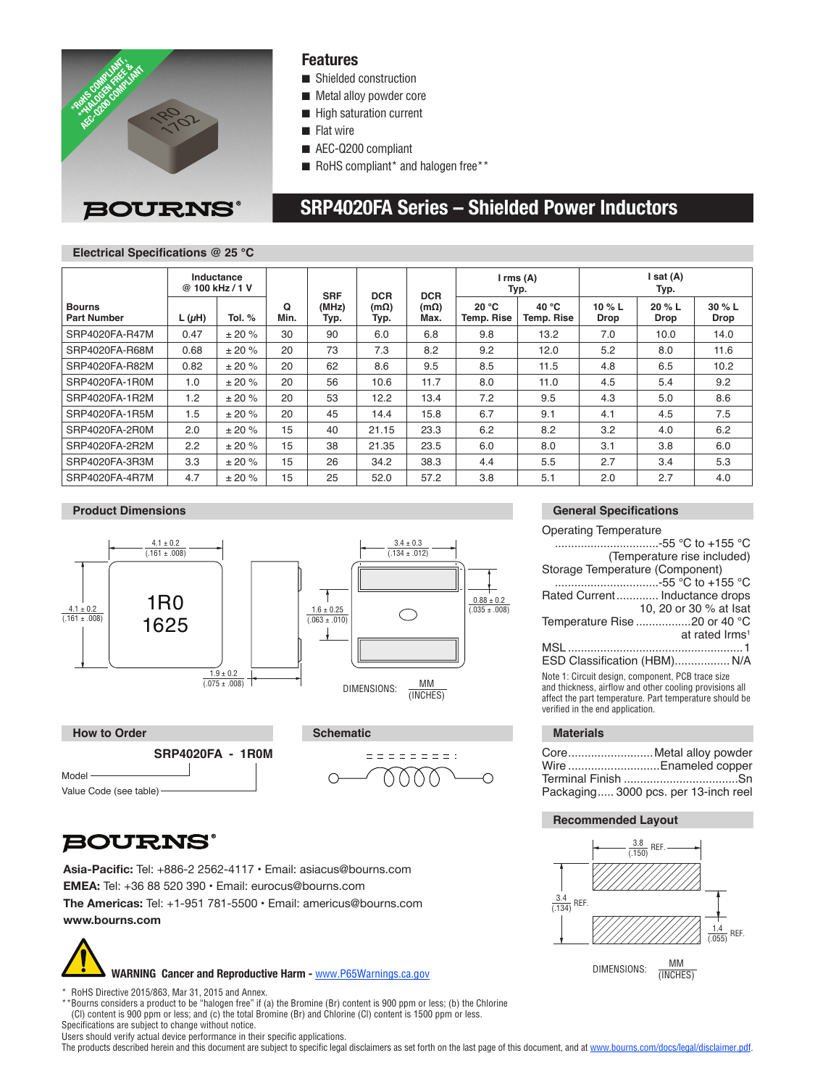

### **Features**

- Shielded construction
- Metal alloy powder core
- $\blacksquare$  High saturation current
- $\blacksquare$  Flat wire
- AEC-Q200 compliant
- RoHS compliant\* and halogen free\*\*

### **BOURNS®**

## **SRP4020FA Series – Shielded Power Inductors**

### **Electrical Specifications @ 25 °C**

|                                     | Inductance<br>@ 100 kHz / 1 V |          |           | <b>SRF</b>    | <b>DCR</b>   | <b>DCR</b>          | $I$ rms $(A)$<br>Typ.      |                     | Isat(A)<br>Typ. |                  |                |
|-------------------------------------|-------------------------------|----------|-----------|---------------|--------------|---------------------|----------------------------|---------------------|-----------------|------------------|----------------|
| <b>Bourns</b><br><b>Part Number</b> | $L(\mu H)$                    | Tol. $%$ | Q<br>Min. | (MHz)<br>Typ. | (mΩ)<br>Typ. | $(m\Omega)$<br>Max. | 20 °C<br><b>Temp. Rise</b> | 40 °C<br>Temp. Rise | 10 % L<br>Drop  | 20 $% L$<br>Drop | 30 % L<br>Drop |
| SRP4020FA-R47M                      | 0.47                          | ± 20%    | 30        | 90            | 6.0          | 6.8                 | 9.8                        | 13.2                | 7.0             | 10.0             | 14.0           |
| SRP4020FA-R68M                      | 0.68                          | ± 20%    | 20        | 73            | 7.3          | 8.2                 | 9.2                        | 12.0                | 5.2             | 8.0              | 11.6           |
| SRP4020FA-R82M                      | 0.82                          | ± 20%    | 20        | 62            | 8.6          | 9.5                 | 8.5                        | 11.5                | 4.8             | 6.5              | 10.2           |
| SRP4020FA-1R0M                      | 1.0                           | ± 20%    | 20        | 56            | 10.6         | 11.7                | 8.0                        | 11.0                | 4.5             | 5.4              | 9.2            |
| SRP4020FA-1R2M                      | 1.2                           | ± 20%    | 20        | 53            | 12.2         | 13.4                | 7.2                        | 9.5                 | 4.3             | 5.0              | 8.6            |
| SRP4020FA-1R5M                      | 1.5                           | ± 20%    | 20        | 45            | 14.4         | 15.8                | 6.7                        | 9.1                 | 4.1             | 4.5              | 7.5            |
| SRP4020FA-2R0M                      | 2.0                           | ± 20%    | 15        | 40            | 21.15        | 23.3                | 6.2                        | 8.2                 | 3.2             | 4.0              | 6.2            |
| SRP4020FA-2R2M                      | 2.2                           | ± 20%    | 15        | 38            | 21.35        | 23.5                | 6.0                        | 8.0                 | 3.1             | 3.8              | 6.0            |
| SRP4020FA-3R3M                      | 3.3                           | ± 20%    | 15        | 26            | 34.2         | 38.3                | 4.4                        | 5.5                 | 2.7             | 3.4              | 5.3            |
| SRP4020FA-4R7M                      | 4.7                           | ± 20%    | 15        | 25            | 52.0         | 57.2                | 3.8                        | 5.1                 | 2.0             | 2.7              | 4.0            |

#### **Product Dimensions**



 $\overline{O}$ 



### **BOURNS®**

**Asia-Pacific:** Tel: +886-2 2562-4117 • Email: asiacus@bourns.com **EMEA:** Tel: +36 88 520 390 • Email: eurocus@bourns.com **The Americas:** Tel: +1-951 781-5500 • Email: americus@bourns.com **www.bourns.com**



RoHS Directive 2015/863, Mar 31, 2015 and Annex.

\*\*Bourns considers a product to be "halogen free" if (a) the Bromine (Br) content is 900 ppm or less; (b) the Chlorine (Cl) content is 900 ppm or less; and (c) the total Bromine (Br) and Chlorine (Cl) content is 1500 ppm or less. Specifications are subject to change without notice.

Users should verify actual device performance in their specific applications.

The products described herein and this document are subject to specific legal disclaimers as set forth on the last page of this document, and at www.bourns.com/docs/legal/disclaimer.pdf.

= = = = = = = = :

 $\overline{\bigcirc}$ 

### **General Specifications**

Operating Temperature

| …………………………-55 °C to +155 °C                                                                                                                                                                                 |
|-------------------------------------------------------------------------------------------------------------------------------------------------------------------------------------------------------------|
| (Temperature rise included)                                                                                                                                                                                 |
| Storage Temperature (Component)                                                                                                                                                                             |
| -55 °C to +155 °C                                                                                                                                                                                           |
| Rated Current Inductance drops                                                                                                                                                                              |
| 10, 20 or 30 % at Isat                                                                                                                                                                                      |
| Temperature Rise 20 or 40 °C                                                                                                                                                                                |
| at rated Irms <sup>1</sup>                                                                                                                                                                                  |
|                                                                                                                                                                                                             |
| ESD Classification (HBM) N/A                                                                                                                                                                                |
| Note 1: Circuit design, component, PCB trace size<br>and thickness, airflow and other cooling provisions all<br>affect the part temperature. Part temperature should be<br>verified in the end application. |

| Wire Enameled copper                 |  |
|--------------------------------------|--|
| Packaging 3000 pcs. per 13-inch reel |  |

#### **Recommended Layout**

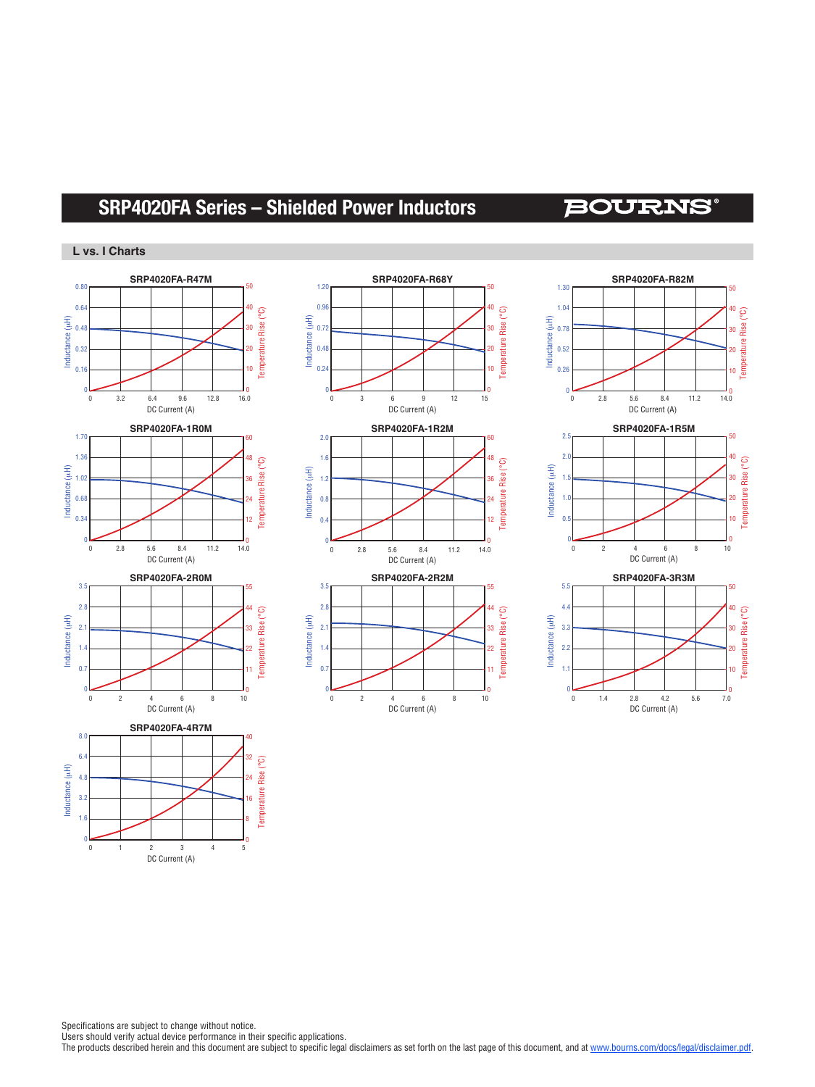### **SRP4020FA Series – Shielded Power Inductors**

### **BOURNS®**

#### **L vs. I Charts**





**SRP4020FA-R68Y**



 $\overline{C}$ Temperature Rise (°C) Inductance (uH) Inductance (μH) emperature Rise 4.8 24 3.2 16 1.6 0 1 2345 DC Current (A)

Specifications are subject to change without notice.

Users should verify actual device performance in their specific applications.

The products described herein and this document are subject to specific legal disclaimers as set forth on the last page of this document, and at www.bourns.com/docs/legal/disclaimer.pdf.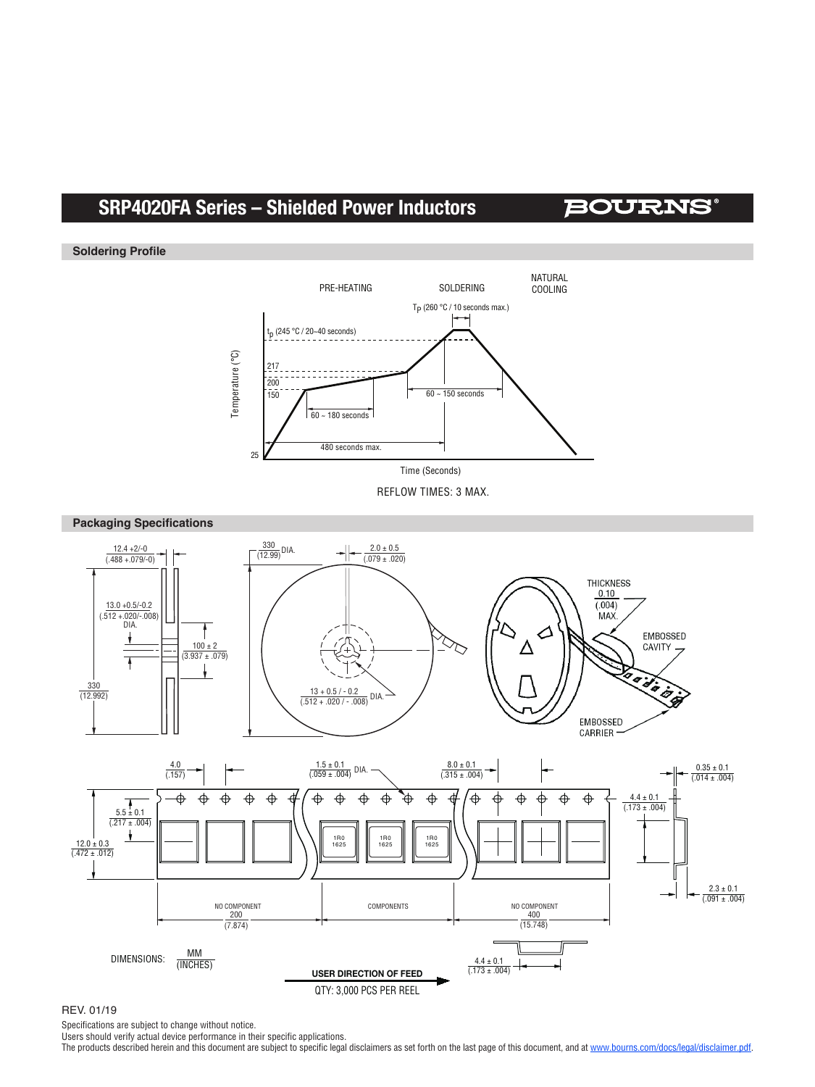### **SRP4020FA Series – Shielded Power Inductors**

### **BOURNS®**

#### **Soldering Profile**



REFLOW TIMES: 3 MAX.



#### REV. 01/19

Specifications are subject to change without notice.

Users should verify actual device performance in their specific applications.

The products described herein and this document are subject to specific legal disclaimers as set forth on the last page of this document, and at www.bourns.com/docs/legal/disclaimer.pdf.